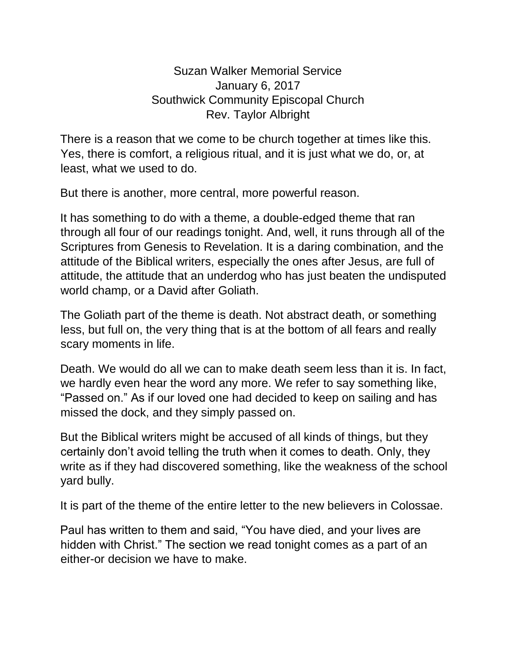Suzan Walker Memorial Service January 6, 2017 Southwick Community Episcopal Church Rev. Taylor Albright

There is a reason that we come to be church together at times like this. Yes, there is comfort, a religious ritual, and it is just what we do, or, at least, what we used to do.

But there is another, more central, more powerful reason.

It has something to do with a theme, a double-edged theme that ran through all four of our readings tonight. And, well, it runs through all of the Scriptures from Genesis to Revelation. It is a daring combination, and the attitude of the Biblical writers, especially the ones after Jesus, are full of attitude, the attitude that an underdog who has just beaten the undisputed world champ, or a David after Goliath.

The Goliath part of the theme is death. Not abstract death, or something less, but full on, the very thing that is at the bottom of all fears and really scary moments in life.

Death. We would do all we can to make death seem less than it is. In fact, we hardly even hear the word any more. We refer to say something like, "Passed on." As if our loved one had decided to keep on sailing and has missed the dock, and they simply passed on.

But the Biblical writers might be accused of all kinds of things, but they certainly don't avoid telling the truth when it comes to death. Only, they write as if they had discovered something, like the weakness of the school yard bully.

It is part of the theme of the entire letter to the new believers in Colossae.

Paul has written to them and said, "You have died, and your lives are hidden with Christ." The section we read tonight comes as a part of an either-or decision we have to make.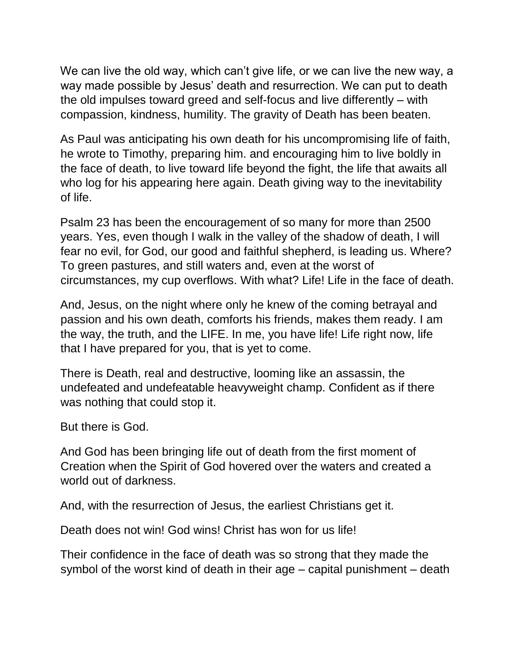We can live the old way, which can't give life, or we can live the new way, a way made possible by Jesus' death and resurrection. We can put to death the old impulses toward greed and self-focus and live differently – with compassion, kindness, humility. The gravity of Death has been beaten.

As Paul was anticipating his own death for his uncompromising life of faith, he wrote to Timothy, preparing him. and encouraging him to live boldly in the face of death, to live toward life beyond the fight, the life that awaits all who log for his appearing here again. Death giving way to the inevitability of life.

Psalm 23 has been the encouragement of so many for more than 2500 years. Yes, even though I walk in the valley of the shadow of death, I will fear no evil, for God, our good and faithful shepherd, is leading us. Where? To green pastures, and still waters and, even at the worst of circumstances, my cup overflows. With what? Life! Life in the face of death.

And, Jesus, on the night where only he knew of the coming betrayal and passion and his own death, comforts his friends, makes them ready. I am the way, the truth, and the LIFE. In me, you have life! Life right now, life that I have prepared for you, that is yet to come.

There is Death, real and destructive, looming like an assassin, the undefeated and undefeatable heavyweight champ. Confident as if there was nothing that could stop it.

But there is God.

And God has been bringing life out of death from the first moment of Creation when the Spirit of God hovered over the waters and created a world out of darkness.

And, with the resurrection of Jesus, the earliest Christians get it.

Death does not win! God wins! Christ has won for us life!

Their confidence in the face of death was so strong that they made the symbol of the worst kind of death in their age – capital punishment – death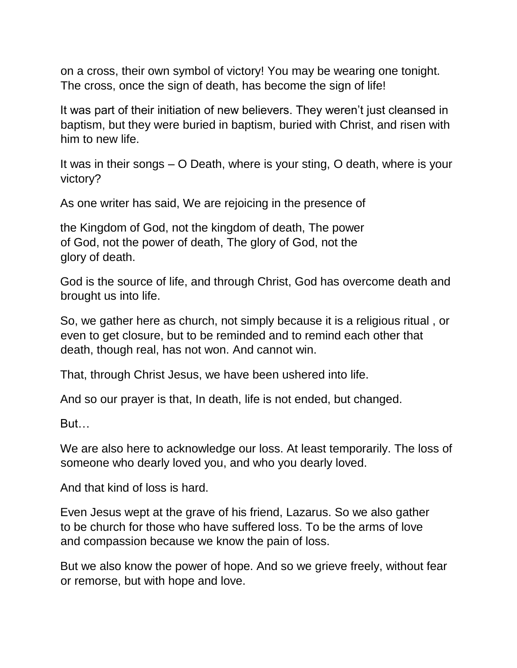on a cross, their own symbol of victory! You may be wearing one tonight. The cross, once the sign of death, has become the sign of life!

It was part of their initiation of new believers. They weren't just cleansed in baptism, but they were buried in baptism, buried with Christ, and risen with him to new life.

It was in their songs – O Death, where is your sting, O death, where is your victory?

As one writer has said, We are rejoicing in the presence of

the Kingdom of God, not the kingdom of death, The power of God, not the power of death, The glory of God, not the glory of death.

God is the source of life, and through Christ, God has overcome death and brought us into life.

So, we gather here as church, not simply because it is a religious ritual , or even to get closure, but to be reminded and to remind each other that death, though real, has not won. And cannot win.

That, through Christ Jesus, we have been ushered into life.

And so our prayer is that, In death, life is not ended, but changed.

But…

We are also here to acknowledge our loss. At least temporarily. The loss of someone who dearly loved you, and who you dearly loved.

And that kind of loss is hard.

Even Jesus wept at the grave of his friend, Lazarus. So we also gather to be church for those who have suffered loss. To be the arms of love and compassion because we know the pain of loss.

But we also know the power of hope. And so we grieve freely, without fear or remorse, but with hope and love.